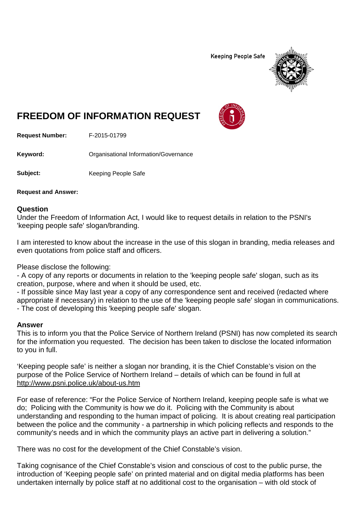**Keeping People Safe** 



## **FREEDOM OF INFORMATION REQUEST**

**Request Number:** F-2015-01799

Keyword: **Communistry Communists** Organisational Information/Governance

**Subject:** Keeping People Safe

**Request and Answer:**

## **Question**

Under the Freedom of Information Act, I would like to request details in relation to the PSNI's 'keeping people safe' slogan/branding.

I am interested to know about the increase in the use of this slogan in branding, media releases and even quotations from police staff and officers.

Please disclose the following:

- A copy of any reports or documents in relation to the 'keeping people safe' slogan, such as its creation, purpose, where and when it should be used, etc.

- If possible since May last year a copy of any correspondence sent and received (redacted where appropriate if necessary) in relation to the use of the 'keeping people safe' slogan in communications. - The cost of developing this 'keeping people safe' slogan.

## **Answer**

This is to inform you that the Police Service of Northern Ireland (PSNI) has now completed its search for the information you requested. The decision has been taken to disclose the located information to you in full.

'Keeping people safe' is neither a slogan nor branding, it is the Chief Constable's vision on the purpose of the Police Service of Northern Ireland – details of which can be found in full at <http://www.psni.police.uk/about-us.htm>

For ease of reference: "For the Police Service of Northern Ireland, keeping people safe is what we do; Policing with the Community is how we do it. Policing with the Community is about understanding and responding to the human impact of policing. It is about creating real participation between the police and the community - a partnership in which policing reflects and responds to the community's needs and in which the community plays an active part in delivering a solution."

There was no cost for the development of the Chief Constable's vision.

Taking cognisance of the Chief Constable's vision and conscious of cost to the public purse, the introduction of 'Keeping people safe' on printed material and on digital media platforms has been undertaken internally by police staff at no additional cost to the organisation – with old stock of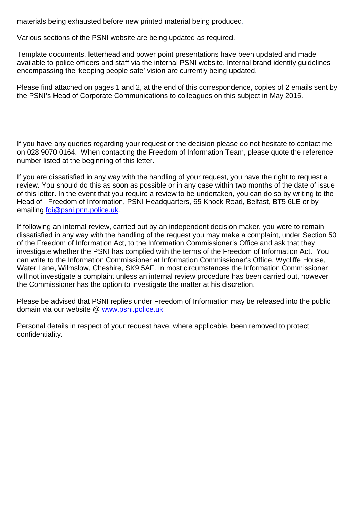materials being exhausted before new printed material being produced.

Various sections of the PSNI website are being updated as required.

Template documents, letterhead and power point presentations have been updated and made available to police officers and staff via the internal PSNI website. Internal brand identity guidelines encompassing the 'keeping people safe' vision are currently being updated.

Please find attached on pages 1 and 2, at the end of this correspondence, copies of 2 emails sent by the PSNI's Head of Corporate Communications to colleagues on this subject in May 2015.

If you have any queries regarding your request or the decision please do not hesitate to contact me on 028 9070 0164. When contacting the Freedom of Information Team, please quote the reference number listed at the beginning of this letter.

If you are dissatisfied in any way with the handling of your request, you have the right to request a review. You should do this as soon as possible or in any case within two months of the date of issue of this letter. In the event that you require a review to be undertaken, you can do so by writing to the Head of Freedom of Information, PSNI Headquarters, 65 Knock Road, Belfast, BT5 6LE or by emailing [foi@psni.pnn.police.uk.](mailto:foi@psni.pnn.police.uk)

If following an internal review, carried out by an independent decision maker, you were to remain dissatisfied in any way with the handling of the request you may make a complaint, under Section 50 of the Freedom of Information Act, to the Information Commissioner's Office and ask that they investigate whether the PSNI has complied with the terms of the Freedom of Information Act. You can write to the Information Commissioner at Information Commissioner's Office, Wycliffe House, Water Lane, Wilmslow, Cheshire, SK9 5AF. In most circumstances the Information Commissioner will not investigate a complaint unless an internal review procedure has been carried out, however the Commissioner has the option to investigate the matter at his discretion.

Please be advised that PSNI replies under Freedom of Information may be released into the public domain via our website @ [www.psni.police.uk](http://www.psni.police.uk/)

Personal details in respect of your request have, where applicable, been removed to protect confidentiality.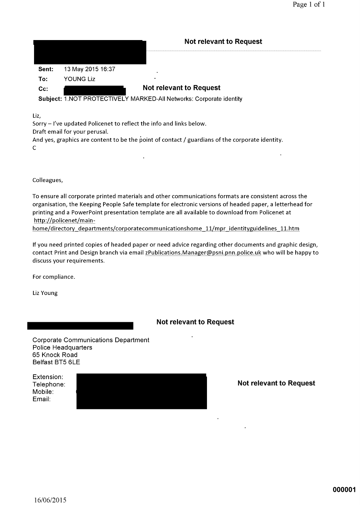|        |                   | <b>Not relevant to Request</b>                                      |
|--------|-------------------|---------------------------------------------------------------------|
|        |                   |                                                                     |
| Sent:  | 13 May 2015 16:37 | ٠                                                                   |
| To:    | YOUNG Liz         |                                                                     |
| $Cc$ : |                   | <b>Not relevant to Request</b>                                      |
|        |                   | Subject: 1.NOT PROTECTIVELY MARKED-All Networks: Corporate identity |

Liz,

Sorry - I've updated Policenet to reflect the info and links below.

Draft email for your perusal.

And yes, graphics are content to be the point of contact / guardians of the corporate identity.  $\mathsf{C}$ 

 $\mathbf{r}$ 

Colleagues,

To ensure all corporate printed materials and other communications formats are consistent across the organisation, the Keeping People Safe template for electronic versions of headed paper, a letterhead for printing and a PowerPoint presentation template are all available to download from Policenet at http://policenet/main-

home/directory\_departments/corporatecommunicationshome\_11/mpr\_identityguidelines\_11.htm

If you need printed copies of headed paper or need advice regarding other documents and graphic design, contact Print and Design branch via email zPublications.Manager@psni.pnn.police.uk who will be happy to discuss your requirements.

For compliance.

Liz Young

**Not relevant to Request** 

 $\mathcal{L}^{\mathcal{L}}$ 

**Corporate Communications Department Police Headquarters** 65 Knock Road Belfast BT5 6LE

| Extension: |  |  |
|------------|--|--|
| Telephone: |  |  |
| Mobile:    |  |  |
| Email:     |  |  |

**Not relevant to Request**